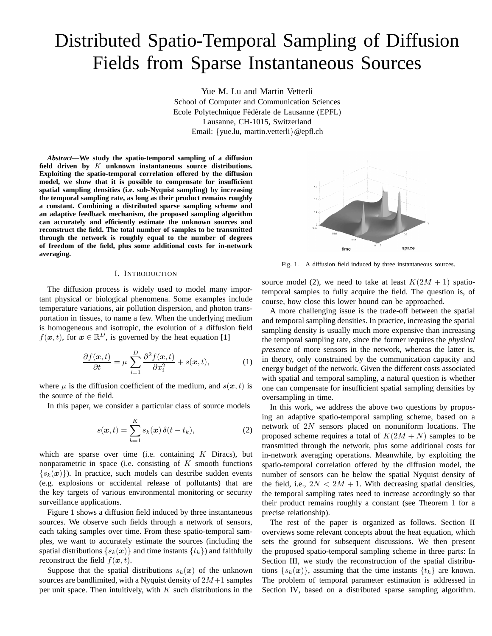# Distributed Spatio-Temporal Sampling of Diffusion Fields from Sparse Instantaneous Sources

Yue M. Lu and Martin Vetterli School of Computer and Communication Sciences Ecole Polytechnique Fédérale de Lausanne (EPFL) Lausanne, CH-1015, Switzerland Email: {yue.lu, martin.vetterli}@epfl.ch

*Abstract***—We study the spatio-temporal sampling of a diffusion field driven by** K **unknown instantaneous source distributions. Exploiting the spatio-temporal correlation offered by the diffusion model, we show that it is possible to compensate for insufficient spatial sampling densities (i.e. sub-Nyquist sampling) by increasing the temporal sampling rate, as long as their product remains roughly a constant. Combining a distributed sparse sampling scheme and an adaptive feedback mechanism, the proposed sampling algorithm can accurately and efficiently estimate the unknown sources and reconstruct the field. The total number of samples to be transmitted through the network is roughly equal to the number of degrees of freedom of the field, plus some additional costs for in-network averaging.**

#### I. INTRODUCTION

The diffusion process is widely used to model many important physical or biological phenomena. Some examples include temperature variations, air pollution dispersion, and photon transportation in tissues, to name a few. When the underlying medium is homogeneous and isotropic, the evolution of a diffusion field  $f(\boldsymbol{x}, t)$ , for  $\boldsymbol{x} \in \mathbb{R}^D$ , is governed by the heat equation [1]

$$
\frac{\partial f(\boldsymbol{x},t)}{\partial t} = \mu \sum_{i=1}^{D} \frac{\partial^2 f(\boldsymbol{x},t)}{\partial x_i^2} + s(\boldsymbol{x},t),
$$
 (1)

where  $\mu$  is the diffusion coefficient of the medium, and  $s(x, t)$  is the source of the field.

In this paper, we consider a particular class of source models

$$
s(\boldsymbol{x},t) = \sum_{k=1}^{K} s_k(\boldsymbol{x}) \, \delta(t - t_k), \tag{2}
$$

which are sparse over time (i.e. containing  $K$  Diracs), but nonparametric in space (i.e. consisting of  $K$  smooth functions  ${s_k(x)}$ . In practice, such models can describe sudden events (e.g. explosions or accidental release of pollutants) that are the key targets of various environmental monitoring or security surveillance applications.

Figure 1 shows a diffusion field induced by three instantaneous sources. We observe such fields through a network of sensors, each taking samples over time. From these spatio-temporal samples, we want to accurately estimate the sources (including the spatial distributions  $\{s_k(x)\}\$ and time instants  $\{t_k\}\$  and faithfully reconstruct the field  $f(x, t)$ .

Suppose that the spatial distributions  $s_k(x)$  of the unknown sources are bandlimited, with a Nyquist density of  $2M+1$  samples per unit space. Then intuitively, with  $K$  such distributions in the



Fig. 1. A diffusion field induced by three instantaneous sources.

source model (2), we need to take at least  $K(2M + 1)$  spatiotemporal samples to fully acquire the field. The question is, of course, how close this lower bound can be approached.

A more challenging issue is the trade-off between the spatial and temporal sampling densities. In practice, increasing the spatial sampling density is usually much more expensive than increasing the temporal sampling rate, since the former requires the *physical presence* of more sensors in the network, whereas the latter is, in theory, only constrained by the communication capacity and energy budget of the network. Given the different costs associated with spatial and temporal sampling, a natural question is whether one can compensate for insufficient spatial sampling densities by oversampling in time.

In this work, we address the above two questions by proposing an adaptive spatio-temporal sampling scheme, based on a network of 2N sensors placed on nonuniform locations. The proposed scheme requires a total of  $K(2M + N)$  samples to be transmitted through the network, plus some additional costs for in-network averaging operations. Meanwhile, by exploiting the spatio-temporal correlation offered by the diffusion model, the number of sensors can be below the spatial Nyquist density of the field, i.e.,  $2N < 2M + 1$ . With decreasing spatial densities, the temporal sampling rates need to increase accordingly so that their product remains roughly a constant (see Theorem 1 for a precise relationship).

The rest of the paper is organized as follows. Section II overviews some relevant concepts about the heat equation, which sets the ground for subsequent discussions. We then present the proposed spatio-temporal sampling scheme in three parts: In Section III, we study the reconstruction of the spatial distributions  $\{s_k(x)\}\$ , assuming that the time instants  $\{t_k\}$  are known. The problem of temporal parameter estimation is addressed in Section IV, based on a distributed sparse sampling algorithm.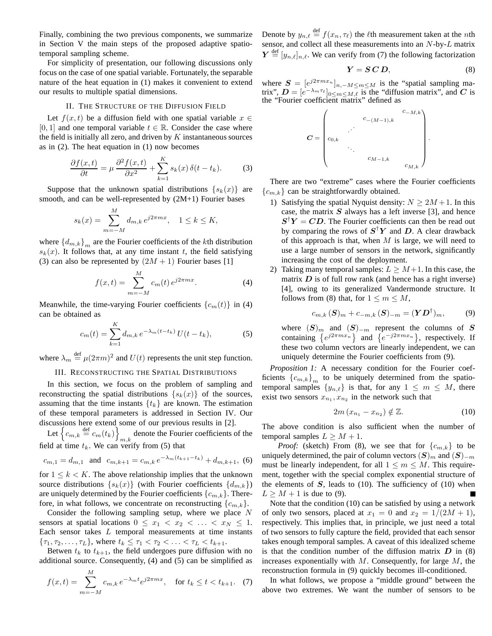Finally, combining the two previous components, we summarize in Section V the main steps of the proposed adaptive spatiotemporal sampling scheme.

For simplicity of presentation, our following discussions only focus on the case of one spatial variable. Fortunately, the separable nature of the heat equation in (1) makes it convenient to extend our results to multiple spatial dimensions.

### II. THE STRUCTURE OF THE DIFFUSION FIELD

Let  $f(x, t)$  be a diffusion field with one spatial variable  $x \in$ [0, 1] and one temporal variable  $t \in \mathbb{R}$ . Consider the case where the field is initially all zero, and driven by  $K$  instantaneous sources as in (2). The heat equation in (1) now becomes

$$
\frac{\partial f(x,t)}{\partial t} = \mu \frac{\partial^2 f(x,t)}{\partial x^2} + \sum_{k=1}^{K} s_k(x) \,\delta(t - t_k). \tag{3}
$$

Suppose that the unknown spatial distributions  $\{s_k(x)\}\$ are smooth, and can be well-represented by (2M+1) Fourier bases

$$
s_k(x) = \sum_{m=-M}^{M} d_{m,k} e^{j2\pi m x}, \quad 1 \le k \le K,
$$

where  ${d_{m,k}}_m$  are the Fourier coefficients of the kth distribution  $s_k(x)$ . It follows that, at any time instant t, the field satisfying (3) can also be represented by  $(2M + 1)$  Fourier bases [1]

$$
f(x,t) = \sum_{m=-M}^{M} c_m(t) e^{j2\pi m x}.
$$
 (4)

Meanwhile, the time-varying Fourier coefficients  $\{c_m(t)\}\$ in (4) can be obtained as

$$
c_m(t) = \sum_{k=1}^{K} d_{m,k} \, e^{-\lambda_m(t - t_k)} \, U(t - t_k),\tag{5}
$$

where  $\lambda_m \stackrel{\text{def}}{=} \mu(2\pi m)^2$  and  $U(t)$  represents the unit step function.

## III. RECONSTRUCTING THE SPATIAL DISTRIBUTIONS

In this section, we focus on the problem of sampling and reconstructing the spatial distributions  $\{s_k(x)\}\$  of the sources, assuming that the time instants  $\{t_k\}$  are known. The estimation of these temporal parameters is addressed in Section IV. Our discussions here extend some of our previous results in [2].

Let  $\left\{ c_{m,k} \stackrel{\text{def}}{=} c_m(t_k) \right\}$ denote the Fourier coefficients of the  $m,k$ field at time  $t_k$ . We can verify from (5) that

$$
c_{m,1} = d_{m,1}
$$
 and  $c_{m,k+1} = c_{m,k} e^{-\lambda_m (t_{k+1} - t_k)} + d_{m,k+1}$ , (6)

for  $1 \leq k \leq K$ . The above relationship implies that the unknown source distributions  $\{s_k(x)\}\$  (with Fourier coefficients  $\{d_{m,k}\}\$ ) are uniquely determined by the Fourier coefficients  $\{c_{m,k}\}\.$  Therefore, in what follows, we concentrate on reconstructing  ${c_{m,k}}$ .

Consider the following sampling setup, where we place  $N$ sensors at spatial locations  $0 \leq x_1 < x_2 < \ldots < x_N \leq 1$ . Each sensor takes  $L$  temporal measurements at time instants  $\{\tau_1, \tau_2, \ldots, \tau_L\}$ , where  $t_k \leq \tau_1 < \tau_2 < \ldots < \tau_L < t_{k+1}$ .

Betwen  $t_k$  to  $t_{k+1}$ , the field undergoes pure diffusion with no additional source. Consequently, (4) and (5) can be simplified as

$$
f(x,t) = \sum_{m=-M}^{M} c_{m,k} e^{-\lambda_m t} e^{j2\pi m x}, \quad \text{for } t_k \le t < t_{k+1}. \tag{7}
$$

Denote by  $y_{n,\ell} \stackrel{\text{def}}{=} f(x_n, \tau_\ell)$  the  $\ell$ th measurement taken at the *n*th sensor, and collect all these measurements into an N-by-L matrix  $Y \stackrel{\text{def}}{=} [y_{n,\ell}]_{n,\ell}$ . We can verify from (7) the following factorization

$$
Y = S\,C\,D,\tag{8}
$$

where  $S = [e^{j2\pi m x_n}]_{n,-M \le m \le M}$  is the "spatial sampling matrix",  $\mathbf{D} = [e^{-\lambda_m \tau_\ell}]_{0 \le m \le M,\ell}$  is the "diffusion matrix", and C is the "Fourier coefficient matrix" defined as



There are two "extreme" cases where the Fourier coefficients  ${c_{m,k}}$  can be straightforwardly obtained.

- 1) Satisfying the spatial Nyquist density:  $N \ge 2M + 1$ . In this case, the matrix  $S$  always has a left inverse [3], and hence  $S^{\dagger}Y = CD$ . The Fourier coefficients can then be read out by comparing the rows of  $S^{\dagger}Y$  and D. A clear drawback of this approach is that, when  $M$  is large, we will need to use a large number of sensors in the network, significantly increasing the cost of the deployment.
- 2) Taking many temporal samples:  $L \geq M+1$ . In this case, the matrix  $D$  is of full row rank (and hence has a right inverse) [4], owing to its generalized Vandermonde structure. It follows from (8) that, for  $1 \le m \le M$ ,

$$
c_{m,k}(\mathbf{S})_m + c_{-m,k}(\mathbf{S})_{-m} = (\mathbf{Y}\mathbf{D}^\dagger)_m, \tag{9}
$$

where  $(S)<sub>m</sub>$  and  $(S)$ <sub>-m</sub> represent the columns of S containing  $\{e^{j2\pi m x_n}\}\$  and  $\{e^{-j2\pi m x_n}\}\$ , respectively. If these two column vectors are linearly independent, we can uniquely determine the Fourier coefficients from (9).

*Proposition 1:* A necessary condition for the Fourier coefficients  ${c_{m,k}}_m$  to be uniquely determined from the spatiotemporal samples  $\{y_{n,\ell}\}\$ is that, for any  $1 \leq m \leq M$ , there exist two sensors  $x_{n_1}, x_{n_2}$  in the network such that

$$
2m\left(x_{n_1}-x_{n_2}\right) \notin \mathbb{Z}.\tag{10}
$$

The above condition is also sufficient when the number of temporal samples  $L \geq M + 1$ .

*Proof:* (sketch) From (8), we see that for  $\{c_{m,k}\}\)$  to be uniquely determined, the pair of column vectors  $(S)_m$  and  $(S)_{-m}$ must be linearly independent, for all  $1 \leq m \leq M$ . This requirement, together with the special complex exponential structure of the elements of  $S$ , leads to (10). The sufficiency of (10) when  $L > M + 1$  is due to (9).

Note that the condition (10) can be satisfied by using a network of only two sensors, placed at  $x_1 = 0$  and  $x_2 = 1/(2M + 1)$ , respectively. This implies that, in principle, we just need a total of two sensors to fully capture the field, provided that each sensor takes enough temporal samples. A caveat of this idealized scheme is that the condition number of the diffusion matrix  $D$  in  $(8)$ increases exponentially with  $M$ . Consequently, for large  $M$ , the reconstruction formula in (9) quickly becomes ill-conditioned.

In what follows, we propose a "middle ground" between the above two extremes. We want the number of sensors to be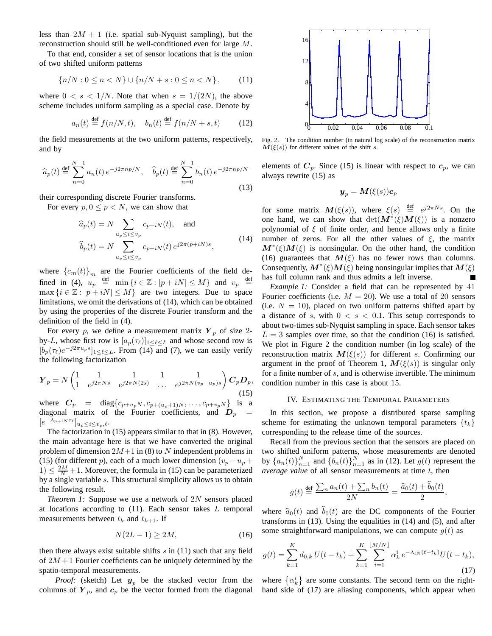less than  $2M + 1$  (i.e. spatial sub-Nyquist sampling), but the reconstruction should still be well-conditioned even for large M.

To that end, consider a set of sensor locations that is the union of two shifted uniform patterns

$$
\{n/N : 0 \le n < N\} \cup \{n/N + s : 0 \le n < N\},\tag{11}
$$

where  $0 < s < 1/N$ . Note that when  $s = 1/(2N)$ , the above scheme includes uniform sampling as a special case. Denote by

$$
a_n(t) \stackrel{\text{def}}{=} f(n/N, t), \quad b_n(t) \stackrel{\text{def}}{=} f(n/N + s, t) \tag{12}
$$

the field measurements at the two uniform patterns, respectively, and by

$$
\widehat{a}_p(t) \stackrel{\text{def}}{=} \sum_{n=0}^{N-1} a_n(t) \, e^{-j2\pi np/N}, \quad \widehat{b}_p(t) \stackrel{\text{def}}{=} \sum_{n=0}^{N-1} b_n(t) \, e^{-j2\pi np/N}
$$
\n(13)

their corresponding discrete Fourier transforms.

For every  $p, 0 \leq p < N$ , we can show that

$$
\widehat{a}_p(t) = N \sum_{u_p \le i \le v_p} c_{p+iN}(t), \text{ and}
$$

$$
\widehat{b}_p(t) = N \sum_{u_p \le i \le v_p} c_{p+iN}(t) e^{j2\pi (p+iN)s}, \qquad (14)
$$

where  ${c_m(t)}_m$  are the Fourier coefficients of the field defined in (4),  $u_p \stackrel{\text{def}}{=} \min \{ i \in \mathbb{Z} : |p + iN| \le M \}$  and  $v_p \stackrel{\text{def}}{=}$  $\max\{i \in \mathbb{Z} : |p + iN| \leq M\}$  are two integers. Due to space limitations, we omit the derivations of (14), which can be obtained by using the properties of the discrete Fourier transform and the definition of the field in (4).

For every p, we define a measurement matrix  $Y_p$  of size 2by-L, whose first row is  $[a_p(\tau_\ell)]_{1 \leq \ell \leq L}$  and whose second row is  $[b_p(\tau_\ell)e^{-j2\pi u_ps}]_{1\leq \ell\leq L}$ . From (14) and (7), we can easily verify the following factorization

$$
\mathbf{Y}_p = N \begin{pmatrix} 1 & 1 & 1 & 1 \\ 1 & e^{j2\pi Ns} & e^{j2\pi N(2s)} & \dots & e^{j2\pi N(v_p - u_p)s} \end{pmatrix} \mathbf{C}_p \mathbf{D}_p,
$$
  
where  $\mathbf{C}_p = \text{diag}\{c_{p+u_pN}, c_{p+(u_p+1)N}, \dots, c_{p+v_pN}\}$  is a

diagonal matrix of the Fourier coefficients, and  $D_p$  $[e^{-\lambda_{p+iN}\tau_{\ell}}]_{u_p\leq i\leq v_p,\ell}.$ 

The factorization in (15) appears similar to that in (8). However, the main advantage here is that we have converted the original problem of dimension  $2M+1$  in (8) to N independent problems in (15) (for different p), each of a much lower dimension  $(v_p - u_p +$  $1) \leq \frac{2M}{N} + 1$ . Moreover, the formula in (15) can be parameterized by a single variable s. This structural simplicity allows us to obtain the following result.

*Theorem 1:* Suppose we use a network of 2N sensors placed at locations according to  $(11)$ . Each sensor takes L temporal measurements between  $t_k$  and  $t_{k+1}$ . If

$$
N(2L-1) \ge 2M,\tag{16}
$$

then there always exist suitable shifts  $s$  in (11) such that any field of  $2M + 1$  Fourier coefficients can be uniquely determined by the spatio-temporal measurements.

*Proof:* (sketch) Let  $y_p$  be the stacked vector from the columns of  $Y_p$ , and  $c_p$  be the vector formed from the diagonal



Fig. 2. The condition number (in natural log scale) of the reconstruction matrix  $M(\xi(s))$  for different values of the shift s.

elements of  $C_p$ . Since (15) is linear with respect to  $c_p$ , we can always rewrite (15) as

$$
\boldsymbol{y}_p = \boldsymbol{M}(\xi(s))\boldsymbol{c}_p
$$

for some matrix  $M(\xi(s))$ , where  $\xi(s) \stackrel{\text{def}}{=} e^{j2\pi N s}$ . On the one hand, we can show that  $\det(M^*(\xi)M(\xi))$  is a nonzero polynomial of  $\xi$  of finite order, and hence allows only a finite number of zeros. For all the other values of  $\xi$ , the matrix  $M^*(\xi)M(\xi)$  is nonsingular. On the other hand, the condition (16) guarantees that  $M(\xi)$  has no fewer rows than columns. Consequently,  $M^*(\xi)M(\xi)$  being nonsingular implies that  $M(\xi)$ has full column rank and thus admits a left inverse.

*Example 1:* Consider a field that can be represented by 41 Fourier coefficients (i.e.  $M = 20$ ). We use a total of 20 sensors (i.e.  $N = 10$ ), placed on two uniform patterns shifted apart by a distance of s, with  $0 < s < 0.1$ . This setup corresponds to about two-times sub-Nyquist sampling in space. Each sensor takes  $L = 3$  samples over time, so that the condition (16) is satisfied. We plot in Figure 2 the condition number (in log scale) of the reconstruction matrix  $M(\xi(s))$  for different s. Confirming our argument in the proof of Theorem 1,  $M(\xi(s))$  is singular only for a finite number of s, and is otherwise invertible. The minimum condition number in this case is about 15.

#### IV. ESTIMATING THE TEMPORAL PARAMETERS

In this section, we propose a distributed sparse sampling scheme for estimating the unknown temporal parameters  $\{t_k\}$ corresponding to the release time of the sources.

Recall from the previous section that the sensors are placed on two shifted uniform patterns, whose measurements are denoted by  $\{a_n(t)\}_{n=1}^N$  and  $\{\tilde{b}_n(t)\}_{n=1}^N$  as in (12). Let  $g(t)$  represent the *average value* of all sensor measurements at time t, then

$$
g(t) \stackrel{\text{def}}{=} \frac{\sum_n a_n(t) + \sum_n b_n(t)}{2N} = \frac{\widehat{a}_0(t) + \widehat{b}_0(t)}{2},
$$

where  $\hat{a}_0(t)$  and  $\hat{b}_0(t)$  are the DC components of the Fourier transforms in (13). Using the equalities in (14) and (5), and after some straightforward manipulations, we can compute  $q(t)$  as

$$
g(t) = \sum_{k=1}^{K} d_{0,k} U(t - t_k) + \sum_{k=1}^{K} \sum_{i=1}^{\lfloor M/N \rfloor} \alpha_k^i e^{-\lambda_{iN}(t - t_k)} U(t - t_k),
$$
\n(17)

where  $\{\alpha_k^i\}$  are some constants. The second term on the righthand side of (17) are aliasing components, which appear when